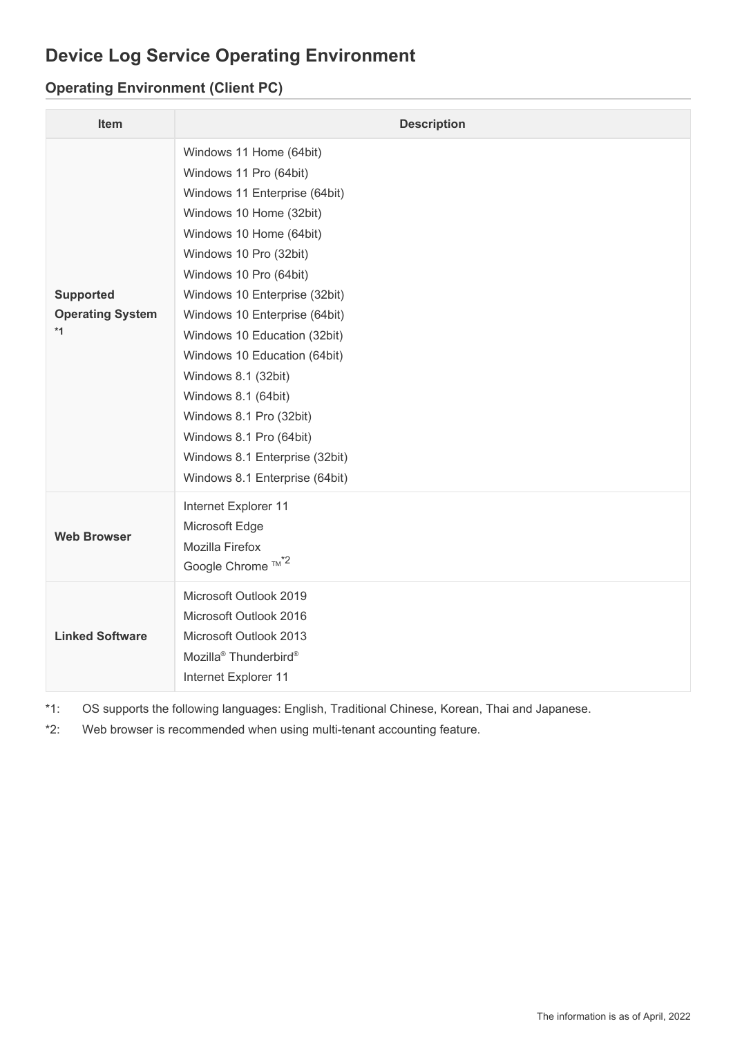## **Device Log Service Operating Environment**

## **Operating Environment (Client PC)**

| Item                                                | <b>Description</b>                                                                                                                                                                                                                                                                                                                                                                                                                                                                                     |
|-----------------------------------------------------|--------------------------------------------------------------------------------------------------------------------------------------------------------------------------------------------------------------------------------------------------------------------------------------------------------------------------------------------------------------------------------------------------------------------------------------------------------------------------------------------------------|
| <b>Supported</b><br><b>Operating System</b><br>$*1$ | Windows 11 Home (64bit)<br>Windows 11 Pro (64bit)<br>Windows 11 Enterprise (64bit)<br>Windows 10 Home (32bit)<br>Windows 10 Home (64bit)<br>Windows 10 Pro (32bit)<br>Windows 10 Pro (64bit)<br>Windows 10 Enterprise (32bit)<br>Windows 10 Enterprise (64bit)<br>Windows 10 Education (32bit)<br>Windows 10 Education (64bit)<br>Windows 8.1 (32bit)<br>Windows 8.1 (64bit)<br>Windows 8.1 Pro (32bit)<br>Windows 8.1 Pro (64bit)<br>Windows 8.1 Enterprise (32bit)<br>Windows 8.1 Enterprise (64bit) |
| <b>Web Browser</b>                                  | Internet Explorer 11<br>Microsoft Edge<br>Mozilla Firefox<br>Google Chrome ™ <sup>*2</sup>                                                                                                                                                                                                                                                                                                                                                                                                             |
| <b>Linked Software</b>                              | Microsoft Outlook 2019<br>Microsoft Outlook 2016<br>Microsoft Outlook 2013<br>Mozilla <sup>®</sup> Thunderbird <sup>®</sup><br>Internet Explorer 11                                                                                                                                                                                                                                                                                                                                                    |

\*1: OS supports the following languages: English, Traditional Chinese, Korean, Thai and Japanese.

\*2: Web browser is recommended when using multi-tenant accounting feature.